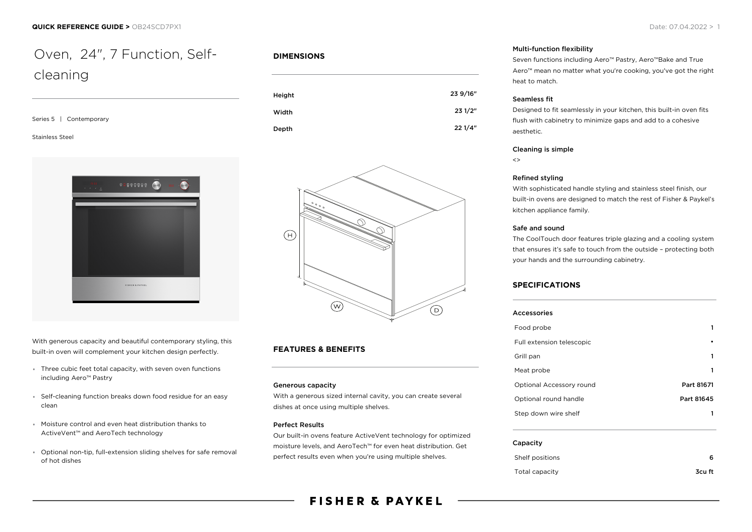# Oven, 24", 7 Function, Selfcleaning

| Series 5   Contemporary |  |
|-------------------------|--|

#### Stainless Steel



With generous capacity and beautiful contemporary styling, this built-in oven will complement your kitchen design perfectly.

- Three cubic feet total capacity, with seven oven functions including Aero™ Pastry
- Self-cleaning function breaks down food residue for an easy clean
- Moisture control and even heat distribution thanks to ActiveVent™ and AeroTech technology
- Optional non-tip, full-extension sliding shelves for safe removal of hot dishes

# **DIMENSIONS**





# **FEATURES & BENEFITS**

#### Generous capacity

With a generous sized internal cavity, you can create several dishes at once using multiple shelves.

# Perfect Results

Our built-in ovens feature ActiveVent technology for optimized moisture levels, and AeroTech™ for even heat distribution. Get perfect results even when you're using multiple shelves.

#### Multi-function flexibility

Seven functions including Aero™ Pastry, Aero™Bake and True Aero™ mean no matter what you're cooking, you've got the right heat to match.

#### Seamless fit

Designed to fit seamlessly in your kitchen, this built-in oven fits flush with cabinetry to minimize gaps and add to a cohesive aesthetic.

#### Cleaning is simple

 $\left\langle \right\rangle$ 

#### Refined styling

With sophisticated handle styling and stainless steel finish, our built-in ovens are designed to match the rest of Fisher & Paykel's kitchen appliance family.

#### Safe and sound

The CoolTouch door features triple glazing and a cooling system that ensures it's safe to touch from the outside – protecting both your hands and the surrounding cabinetry.

# **SPECIFICATIONS**

| <b>Accessories</b>        |            |
|---------------------------|------------|
|                           |            |
| Food probe                | 1          |
| Full extension telescopic |            |
| Grill pan                 | 1          |
| Meat probe                | 1          |
| Optional Accessory round  | Part 81671 |
| Optional round handle     | Part 81645 |
| Step down wire shelf      |            |

#### Capacity

| Shelf positions |        |
|-----------------|--------|
| Total capacity  | 3cu ft |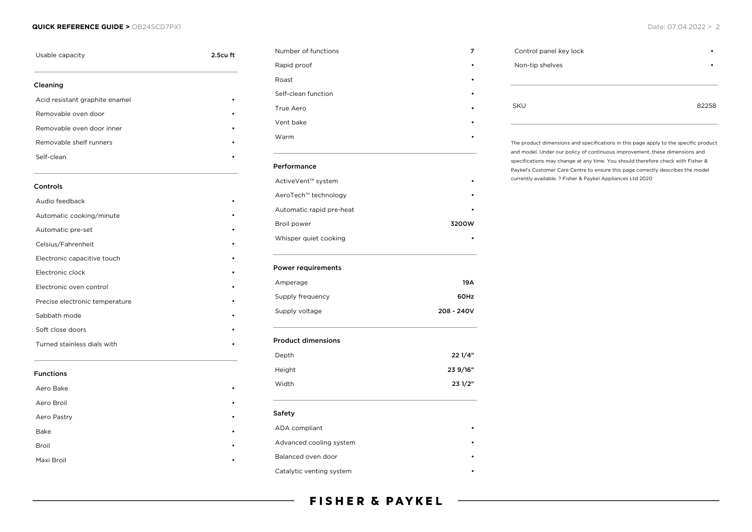## **QUICK REFERENCE GUIDE >** OB24SCD7PX1 Date: 07.04.2022 > 2

| Usable capacity                | 2.5cu ft |
|--------------------------------|----------|
| Cleaning                       |          |
| Acid resistant graphite enamel |          |
| Removable oven door            |          |
| Removable oven door inner      |          |
| Removable shelf runners        |          |
| Self-clean                     |          |
| Controls                       |          |
| Audio feedback                 |          |
| Automatic cooking/minute       |          |
| Automatic pre-set              |          |
| Celsius/Fahrenheit             |          |
| Electronic capacitive touch    |          |
| Electronic clock               |          |
| Electronic oven control        |          |
| Precise electronic temperature |          |
| Sabbath mode                   |          |
| Soft close doors               |          |
| Turned stainless dials with    |          |
| <b>Functions</b>               |          |
| Aero Bake                      |          |
| Aero Broil                     |          |
| Aero Pastry                    |          |
| <b>Bake</b>                    |          |
| Broil                          |          |
| Maxi Broil                     |          |

| Number of functions       | 7          |
|---------------------------|------------|
| Rapid proof               |            |
| Roast                     |            |
| Self-clean function       |            |
| True Aero                 |            |
| Vent bake                 |            |
| Warm                      |            |
| Performance               |            |
| ActiveVent™ system        |            |
| AeroTech™ technology      |            |
| Automatic rapid pre-heat  |            |
| Broil power               | 3200W      |
| Whisper quiet cooking     |            |
| <b>Power requirements</b> |            |
| Amperage                  | 19A        |
| Supply frequency          | 60Hz       |
| Supply voltage            | 208 - 240V |
| <b>Product dimensions</b> |            |
| Depth                     | 221/4"     |
| Height                    | 23 9/16"   |
| Width                     | 23 1/2"    |
| Safety                    |            |
| ADA compliant             |            |
| Advanced cooling system   |            |
|                           |            |
| Balanced oven door        |            |

```
Control panel key lock •
Non-tip shelves •
SKU 82258
```
The product dimensions and specifications in this page apply to the specific product and model. Under our policy of continuous improvement, these dimensions and specifications may change at any time. You should therefore check with Fisher & Paykel's Customer Care Centre to ensure this page correctly describes the model currently available. ? Fisher & Paykel Appliances Ltd 2020

# **FISHER & PAYKEL**